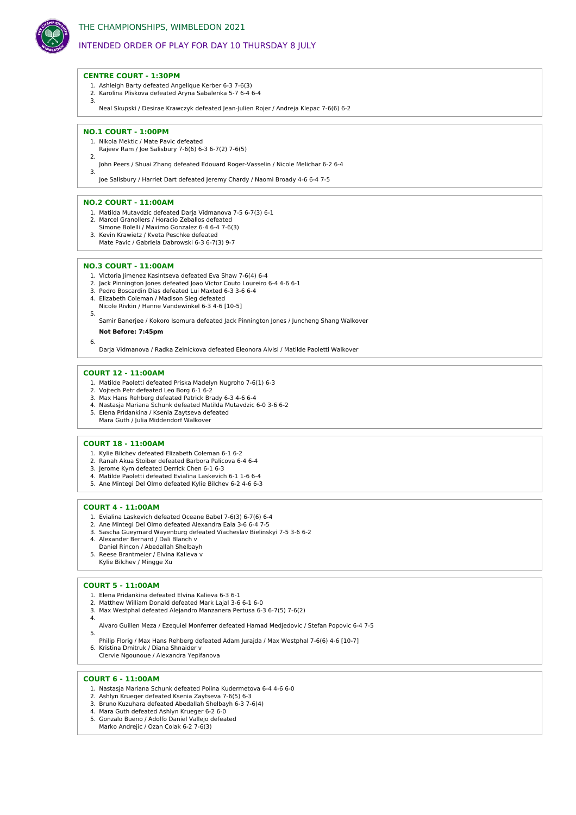

# INTENDED ORDER OF PLAY FOR DAY 10 THURSDAY 8 JULY

### **CENTRE COURT - 1:30PM**

- 1. Ashleigh Barty defeated Angelique Kerber 6-3 7-6(3)
- 2. Karolina Pliskova defeated Aryna Sabalenka 5-7 6-4 6-4 3.

Neal Skupski / Desirae Krawczyk defeated Jean-Julien Rojer / Andreja Klepac 7-6(6) 6-2

### **NO.1 COURT - 1:00PM**

- 1. Nikola Mektic / Mate Pavic defeated Rajeev Ram / Joe Salisbury 7-6(6) 6-3 6-7(2) 7-6(5)
- 2.

John Peers / Shuai Zhang defeated Edouard Roger-Vasselin / Nicole Melichar 6-2 6-4 3.

Joe Salisbury / Harriet Dart defeated Jeremy Chardy / Naomi Broady 4-6 6-4 7-5

#### **NO.2 COURT - 11:00AM**

- 1. Matilda Mutavdzic defeated Darja Vidmanova 7-5 6-7(3) 6-1
- 2. Marcel Granollers / Horacio Zeballos defeated
- Simone Bolelli / Maximo Gonzalez 6-4 6-4 7-6(3) 3. Kevin Krawietz / Kveta Peschke defeated
- Mate Pavic / Gabriela Dabrowski 6-3 6-7(3) 9-7

#### **NO.3 COURT - 11:00AM**

- 1. Victoria Jimenez Kasintseva defeated Eva Shaw 7-6(4) 6-4
- 2. Jack Pinnington Jones defeated Joao Victor Couto Loureiro 6-4 4-6 6-1
- 3. Pedro Boscardin Dias defeated Lui Maxted 6-3 3-6 6-4
- 4. Elizabeth Coleman / Madison Sieg defeated
- Nicole Rivkin / Hanne Vandewinkel 6-3 4-6 [10-5] 5.

Samir Banerjee / Kokoro Isomura defeated Jack Pinnington Jones / Juncheng Shang Walkover

# **Not Before: 7:45pm**

Darja Vidmanova / Radka Zelnickova defeated Eleonora Alvisi / Matilde Paoletti Walkover

### **COURT 12 - 11:00AM**

6.

- 1. Matilde Paoletti defeated Priska Madelyn Nugroho 7-6(1) 6-3
- 2. Vojtech Petr defeated Leo Borg 6-1 6-2
- 3. Max Hans Rehberg defeated Patrick Brady 6-3 4-6 6-4
- 4. Nastasja Mariana Schunk defeated Matilda Mutavdzic 6-0 3-6 6-2
- 5. Elena Pridankina / Ksenia Zaytseva defeated Mara Guth / Julia Middendorf Walkover

# **COURT 18 - 11:00AM**

- 1. Kylie Bilchev defeated Elizabeth Coleman 6-1 6-2
- 2. Ranah Akua Stoiber defeated Barbora Palicova 6-4 6-4
- 3. Jerome Kym defeated Derrick Chen 6-1 6-3 4. Matilde Paoletti defeated Evialina Laskevich 6-1 1-6 6-4
- 
- 5. Ane Mintegi Del Olmo defeated Kylie Bilchev 6-2 4-6 6-3

#### **COURT 4 - 11:00AM**

- 1. Evialina Laskevich defeated Oceane Babel 7-6(3) 6-7(6) 6-4
- 2. Ane Mintegi Del Olmo defeated Alexandra Eala 3-6 6-4 7-5
- 3. Sascha Gueymard Wayenburg defeated Viacheslav Bielinskyi 7-5 3-6 6-2
- 4. Alexander Bernard / Dali Blanch v
- Daniel Rincon / Abedallah Shelbayh
- 5. Reese Brantmeier / Elvina Kalieva v Kylie Bilchev / Mingge Xu

# **COURT 5 - 11:00AM**

4.

- 1. Elena Pridankina defeated Elvina Kalieva 6-3 6-1
- 2. Matthew William Donald defeated Mark Lajal 3-6 6-1 6-0
- 3. Max Westphal defeated Alejandro Manzanera Pertusa 6-3 6-7(5) 7-6(2)
- Alvaro Guillen Meza / Ezequiel Monferrer defeated Hamad Medjedovic / Stefan Popovic 6-4 7-5
- 5. Philip Florig / Max Hans Rehberg defeated Adam Jurajda / Max Westphal 7-6(6) 4-6 [10-7]
- 
- 6. Kristina Dmitruk / Diana Shnaider v Clervie Ngounoue / Alexandra Yepifanova

### **COURT 6 - 11:00AM**

- 1. Nastasja Mariana Schunk defeated Polina Kudermetova 6-4 4-6 6-0
- 2. Ashlyn Krueger defeated Ksenia Zaytseva 7-6(5) 6-3
- 3. Bruno Kuzuhara defeated Abedallah Shelbayh 6-3 7-6(4) 4. Mara Guth defeated Ashlyn Krueger 6-2 6-0
- 5. Gonzalo Bueno / Adolfo Daniel Vallejo defeated
- Marko Andrejic / Ozan Colak 6-2 7-6(3)